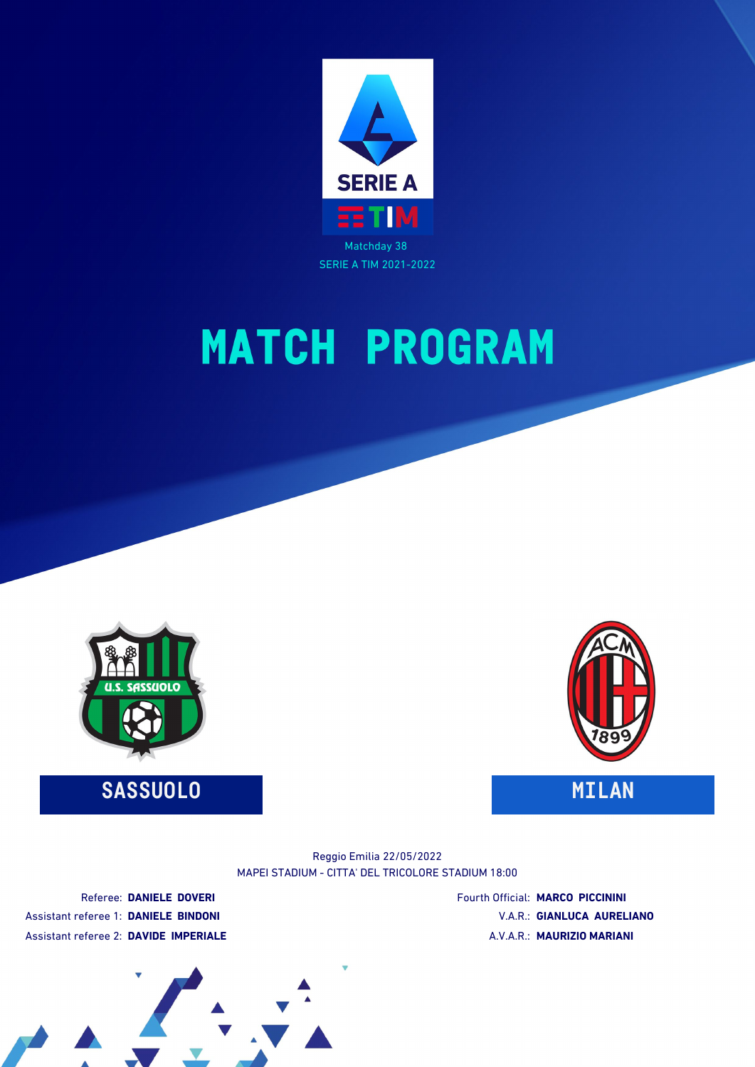

# **MATCH PROGRAM**



### **SASSUOLO MILAN**



#### MAPEI STADIUM - CITTA' DEL TRICOLORE STADIUM 18:00 Reggio Emilia 22/05/2022

Referee: **DANIELE DOVERI** Assistant referee 1: **DANIELE BINDONI** Assistant referee 2: **DAVIDE IMPERIALE** Fourth Official: **MARCO PICCININI** V.A.R.: **GIANLUCA AURELIANO** A.V.A.R.: **MAURIZIO MARIANI**

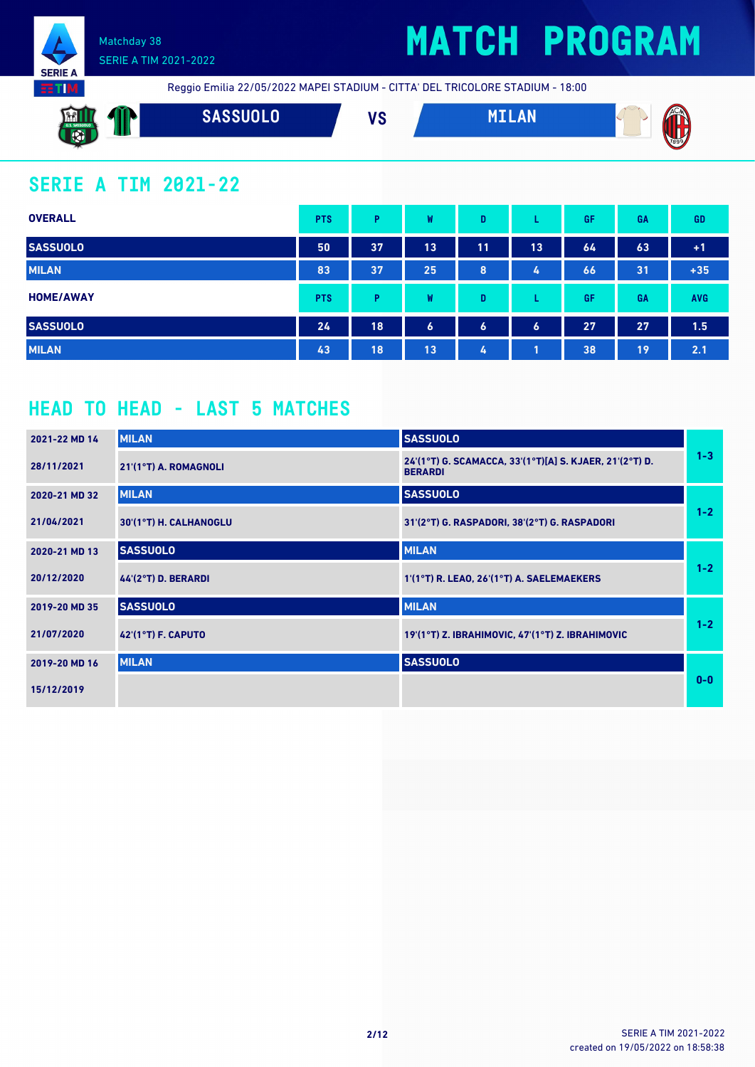



Reggio Emilia 22/05/2022 MAPEI STADIUM - CITTA' DEL TRICOLORE STADIUM - 18:00

| $\mathcal{A}$ 82 $\mathcal{B}$<br><b>LANLL</b><br><b>J.S. SASSUOLO</b><br><b>IDN</b><br><b>Section</b> | <b>SSUOLO</b> | I I A<br>I e | . | <b>TAC</b><br><br>W. |
|--------------------------------------------------------------------------------------------------------|---------------|--------------|---|----------------------|
| 52                                                                                                     |               |              |   | 1899                 |

### **SERIE A TIM 2021-22**

| <b>OVERALL</b>   | <b>PTS</b> | P  | W  | D                    |                  | GF | GA | <b>GD</b>     |
|------------------|------------|----|----|----------------------|------------------|----|----|---------------|
| <b>SASSUOLO</b>  | 50         | 37 | 13 | 11                   | 13               | 64 | 63 | $+1$          |
| <b>MILAN</b>     | 83         | 37 | 25 | 8                    | $L_{\rm s}$      | 66 | 31 | $+35$         |
| <b>HOME/AWAY</b> | <b>PTS</b> | Þ  | W  | D                    | ┗                | GF | GA | <b>AVG</b>    |
| <b>SASSUOLO</b>  | 24         | 18 | 6  | $\ddot{\phantom{a}}$ | $\boldsymbol{6}$ | 27 | 27 | $1.5^{\circ}$ |
| <b>MILAN</b>     | 43         | 18 | 13 | 4                    |                  | 38 | 19 | 2.1           |

### **HEAD TO HEAD - LAST 5 MATCHES**

| 2021-22 MD 14 | <b>MILAN</b>           | <b>SASSUOLO</b>                                                           |         |
|---------------|------------------------|---------------------------------------------------------------------------|---------|
| 28/11/2021    | 21'(1°T) A. ROMAGNOLI  | 24'(1°T) G. SCAMACCA, 33'(1°T)[A] S. KJAER, 21'(2°T) D.<br><b>BERARDI</b> | $1 - 3$ |
| 2020-21 MD 32 | <b>MILAN</b>           | <b>SASSUOLO</b>                                                           |         |
| 21/04/2021    | 30'(1°T) H. CALHANOGLU | 31'(2°T) G. RASPADORI, 38'(2°T) G. RASPADORI                              | $1 - 2$ |
| 2020-21 MD 13 | <b>SASSUOLO</b>        | <b>MILAN</b>                                                              |         |
| 20/12/2020    | 44'(2°T) D. BERARDI    | 1'(1°T) R. LEAO, 26'(1°T) A. SAELEMAEKERS                                 | $1 - 2$ |
| 2019-20 MD 35 | <b>SASSUOLO</b>        | <b>MILAN</b>                                                              |         |
| 21/07/2020    | 42'(1°T) F. CAPUTO     | 19'(1°T) Z. IBRAHIMOVIC, 47'(1°T) Z. IBRAHIMOVIC                          | $1 - 2$ |
| 2019-20 MD 16 | <b>MILAN</b>           | <b>SASSUOLO</b>                                                           |         |
| 15/12/2019    |                        |                                                                           | $0 - 0$ |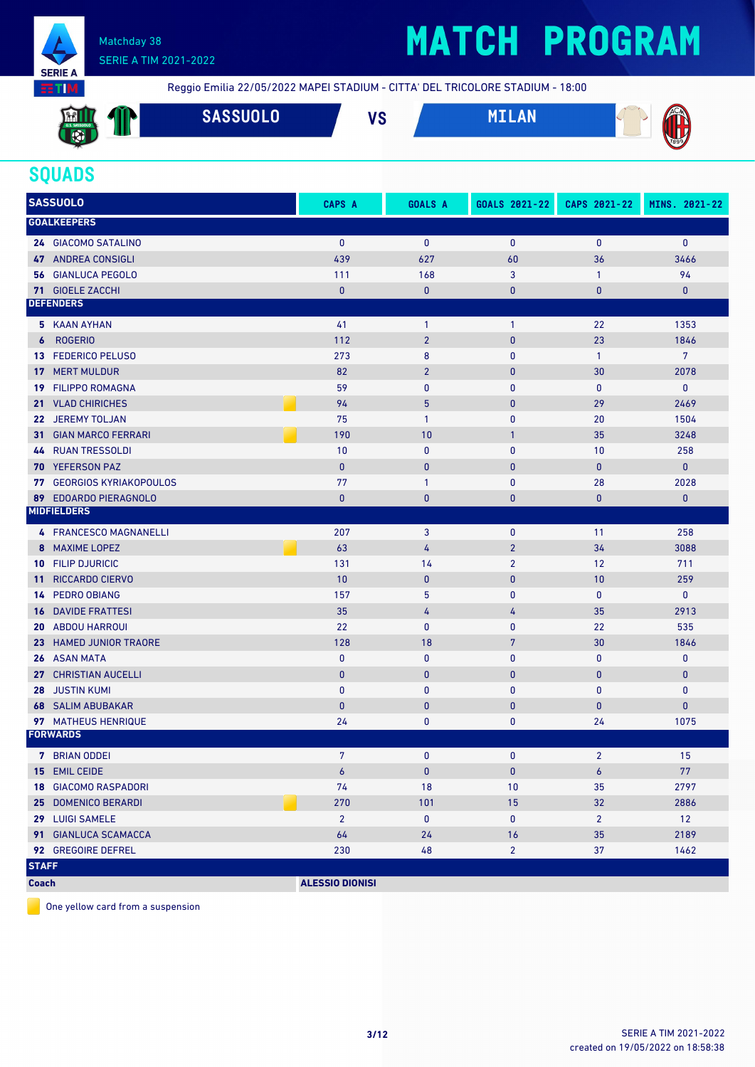

# **MATCH PROGRAM**

Reggio Emilia 22/05/2022 MAPEI STADIUM - CITTA' DEL TRICOLORE STADIUM - 18:00

| <b>External</b><br>U.S. SASSUOLO<br>$\overline{\mathbf{C}}$ | <b>STATISTICS</b><br>$\mathbf{M}$ | <b>SASSUOLO</b> | <b>IO</b><br>ם ו | <b>MTI AN</b> | ACM  |
|-------------------------------------------------------------|-----------------------------------|-----------------|------------------|---------------|------|
| 2.5                                                         |                                   |                 |                  |               | 7899 |

### **SQUADS**

|              | <b>SASSUOLO</b>                  | <b>CAPS A</b>          | <b>GOALS A</b> | GOALS 2021-22  | CAPS 2021-22   | MINS. 2021-22  |
|--------------|----------------------------------|------------------------|----------------|----------------|----------------|----------------|
|              | <b>GOALKEEPERS</b>               |                        |                |                |                |                |
|              | 24 GIACOMO SATALINO              | $\mathbf{0}$           | $\mathbf{0}$   | $\mathbf{0}$   | $\mathbf{0}$   | $\mathbf{0}$   |
|              | <b>47 ANDREA CONSIGLI</b>        | 439                    | 627            | 60             | 36             | 3466           |
|              | <b>56 GIANLUCA PEGOLO</b>        | 111                    | 168            | 3              | $\mathbf{1}$   | 94             |
|              | <b>71 GIOELE ZACCHI</b>          | $\mathbf{0}$           | $\bf{0}$       | $\bf{0}$       | $\bf{0}$       | $\mathbf{0}$   |
|              | <b>DEFENDERS</b>                 |                        |                |                |                |                |
|              | 5 KAAN AYHAN                     | 41                     | $\mathbf{1}$   | $\overline{1}$ | 22             | 1353           |
| 6            | <b>ROGERIO</b>                   | 112                    | $\overline{2}$ | $\pmb{0}$      | 23             | 1846           |
|              | 13 FEDERICO PELUSO               | 273                    | 8              | 0              | $\mathbf{1}$   | $\overline{7}$ |
|              | <b>17 MERT MULDUR</b>            | 82                     | $\overline{2}$ | $\pmb{0}$      | 30             | 2078           |
|              | 19 FILIPPO ROMAGNA               | 59                     | $\mathbf{0}$   | $\mathbf{0}$   | $\bf{0}$       | $\mathbf 0$    |
|              | 21 VLAD CHIRICHES                | 94                     | 5              | $\pmb{0}$      | 29             | 2469           |
| 22           | <b>JEREMY TOLJAN</b>             | 75                     | $\mathbf{1}$   | 0              | 20             | 1504           |
|              | <b>31 GIAN MARCO FERRARI</b>     | 190                    | 10             | $\mathbf{1}$   | 35             | 3248           |
|              | <b>44 RUAN TRESSOLDI</b>         | 10                     | $\bf{0}$       | $\mathbf{0}$   | 10             | 258            |
|              | <b>70 YEFERSON PAZ</b>           | $\pmb{0}$              | $\bf{0}$       | $\pmb{0}$      | $\bf{0}$       | $\mathbf{0}$   |
|              | <b>77 GEORGIOS KYRIAKOPOULOS</b> | 77                     | $\mathbf{1}$   | 0              | 28             | 2028           |
|              | 89 EDOARDO PIERAGNOLO            | $\bf{0}$               | $\mathbf{0}$   | $\bf{0}$       | 0              | $\pmb{0}$      |
|              | <b>MIDFIELDERS</b>               |                        |                |                |                |                |
|              | 4 FRANCESCO MAGNANELLI           | 207                    | 3              | $\mathbf 0$    | 11             | 258            |
| 8            | <b>MAXIME LOPEZ</b>              | 63                     | 4              | $\overline{2}$ | 34             | 3088           |
|              | <b>10 FILIP DJURICIC</b>         | 131                    | 14             | $\overline{2}$ | 12             | 711            |
| 11           | <b>RICCARDO CIERVO</b>           | 10                     | $\mathbf{0}$   | $\mathbf{0}$   | 10             | 259            |
|              | 14 PEDRO OBIANG                  | 157                    | 5              | $\mathbf{0}$   | $\mathbf{0}$   | $\mathbf{0}$   |
|              | <b>16 DAVIDE FRATTESI</b>        | 35                     | 4              | 4              | 35             | 2913           |
|              | <b>20 ABDOU HARROUI</b>          | 22                     | $\mathbf{0}$   | $\mathbf{0}$   | 22             | 535            |
|              | 23 HAMED JUNIOR TRAORE           | 128                    | 18             | $\overline{7}$ | 30             | 1846           |
|              | <b>26 ASAN MATA</b>              | $\bf{0}$               | 0              | 0              | 0              | 0              |
|              | 27 CHRISTIAN AUCELLI             | $\mathbf{0}$           | $\mathbf{0}$   | $\pmb{0}$      | $\bf{0}$       | $\pmb{0}$      |
|              | <b>28 JUSTIN KUMI</b>            | $\bf{0}$               | $\bf{0}$       | 0              | $\bf{0}$       | $\mathbf 0$    |
|              | <b>68 SALIM ABUBAKAR</b>         | $\mathbf{0}$           | $\bf{0}$       | $\pmb{0}$      | $\bf{0}$       | 0              |
|              | 97 MATHEUS HENRIQUE              | 24                     | 0              | 0              | 24             | 1075           |
|              | <b>FORWARDS</b>                  |                        |                |                |                |                |
|              | 7 BRIAN ODDEI                    | 7                      | $\mathbf{0}$   | $\mathbf{0}$   | $\overline{2}$ | 15             |
|              | 15 EMIL CEIDE                    | 6                      | $\pmb{0}$      | $\mathbf{0}$   | 6              | 77             |
|              | <b>18 GIACOMO RASPADORI</b>      | 74                     | 18             | 10             | 35             | 2797           |
|              | 25 DOMENICO BERARDI              | 270                    | 101            | 15             | 32             | 2886           |
|              | 29 LUIGI SAMELE                  | $2^{\circ}$            | 0              | $\mathbf 0$    | $\overline{2}$ | 12             |
|              | 91 GIANLUCA SCAMACCA             | 64                     | 24             | 16             | 35             | 2189           |
|              | 92 GREGOIRE DEFREL               | 230                    | 48             | $\overline{2}$ | 37             | 1462           |
| <b>STAFF</b> |                                  |                        |                |                |                |                |
| <b>Coach</b> |                                  | <b>ALESSIO DIONISI</b> |                |                |                |                |

One yellow card from a suspension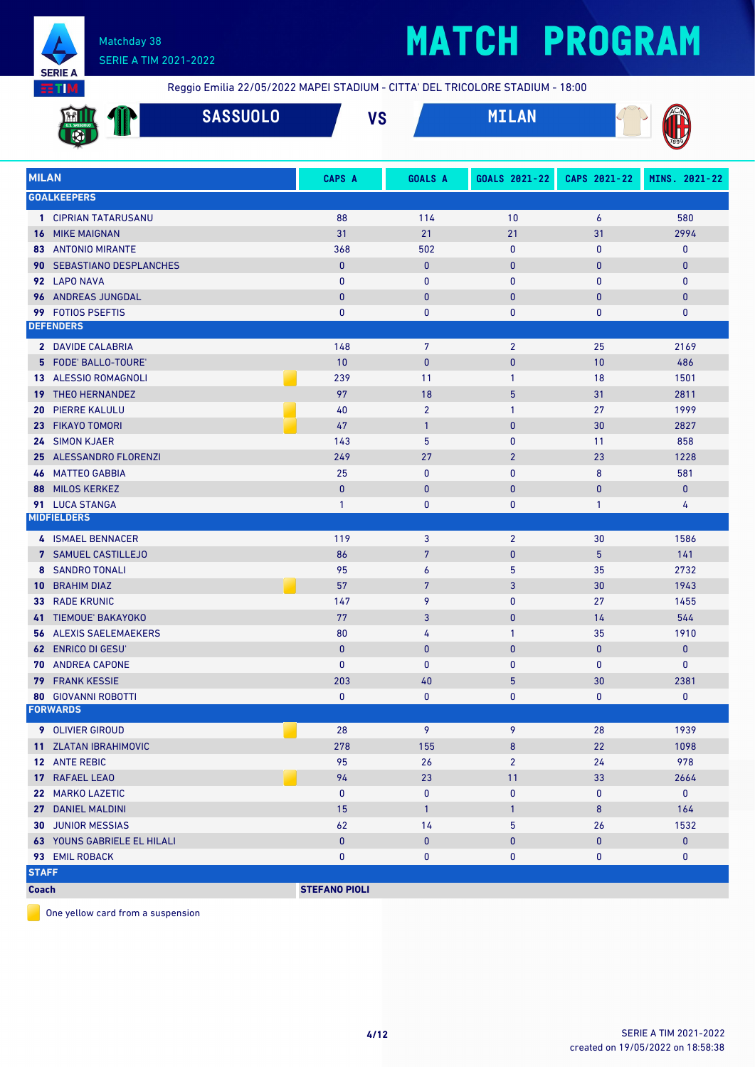

# **MATCH PROGRAM**

Reggio Emilia 22/05/2022 MAPEI STADIUM - CITTA' DEL TRICOLORE STADIUM - 18:00

|                 | <b>SASSUOLO</b>                               |                      | <b>VS</b>                 | <b>MILAN</b>      |                |                     |
|-----------------|-----------------------------------------------|----------------------|---------------------------|-------------------|----------------|---------------------|
| <b>MILAN</b>    |                                               | CAPS A               | <b>GOALS A</b>            | GOALS 2021-22     | CAPS 2021-22   | MINS. 2021-22       |
|                 | <b>GOALKEEPERS</b>                            |                      |                           |                   |                |                     |
|                 | 1 CIPRIAN TATARUSANU                          | 88                   | 114                       | 10                | 6              | 580                 |
|                 | <b>16 MIKE MAIGNAN</b>                        | 31                   | 21                        | 21                | 31             | 2994                |
|                 | <b>83 ANTONIO MIRANTE</b>                     | 368                  | 502                       | 0                 | $\mathbf{0}$   | 0                   |
|                 | 90 SEBASTIANO DESPLANCHES                     | $\mathbf{0}$         | $\pmb{0}$                 | $\pmb{0}$         | $\bf{0}$       | $\pmb{0}$           |
|                 | 92 LAPO NAVA                                  | $\mathbf{0}$         | 0                         | 0                 | $\mathbf{0}$   | 0                   |
|                 | 96 ANDREAS JUNGDAL                            | $\mathbf{0}$         | $\bf{0}$                  | $\pmb{0}$         | $\bf{0}$       | $\pmb{0}$           |
|                 | 99 FOTIOS PSEFTIS                             | $\mathbf{0}$         | 0                         | 0                 | 0              | 0                   |
|                 | <b>DEFENDERS</b>                              |                      |                           |                   |                |                     |
|                 | 2 DAVIDE CALABRIA                             | 148                  | 7                         | $\overline{2}$    | 25             | 2169                |
|                 | 5 FODE' BALLO-TOURE'                          | 10                   | $\mathbf{0}$              | $\mathbf{0}$      | 10             | 486                 |
|                 | 13 ALESSIO ROMAGNOLI                          | 239                  | 11                        | $\mathbf{1}$      | 18             | 1501                |
|                 | <b>19 THEO HERNANDEZ</b>                      | 97                   | 18                        | 5                 | 31             | 2811                |
| 20              | <b>PIERRE KALULU</b>                          | 40                   | $\overline{2}$            | 1                 | 27             | 1999                |
| 23 <sup>°</sup> | <b>FIKAYO TOMORI</b>                          | 47                   | $\mathbf{1}$              | $\mathbf{0}$      | 30             | 2827                |
|                 | 24 SIMON KJAER                                | 143                  | 5                         | $\mathbf 0$       | 11             | 858                 |
|                 | 25 ALESSANDRO FLORENZI                        | 249                  | 27                        | $\overline{2}$    | 23             | 1228                |
|                 | <b>46 MATTEO GABBIA</b>                       | 25                   | $\bf{0}$                  | $\mathbf 0$       | 8              | 581                 |
| 88              | <b>MILOS KERKEZ</b>                           | $\mathbf{0}$         | $\pmb{0}$                 | $\bf{0}$          | $\pmb{0}$      | $\bf{0}$            |
|                 | 91 LUCA STANGA                                | $\mathbf{1}$         | 0                         | 0                 | $\mathbf{1}$   | 4                   |
|                 | <b>MIDFIELDERS</b>                            |                      |                           |                   |                |                     |
|                 | 4 ISMAEL BENNACER                             | 119                  | 3                         | $\overline{2}$    | 30             | 1586                |
|                 | 7 SAMUEL CASTILLEJO                           | 86                   | $7\phantom{.0}$           | $\pmb{0}$         | $\overline{5}$ | 141                 |
|                 | <b>8 SANDRO TONALI</b>                        | 95                   | 6                         | 5                 | 35             | 2732                |
| 10              | <b>BRAHIM DIAZ</b>                            | 57                   | $\overline{7}$            | 3                 | 30             | 1943                |
| 33              | <b>RADE KRUNIC</b>                            | 147                  | 9                         | 0                 | 27             | 1455                |
|                 | 41 TIEMOUE' BAKAYOKO                          | 77                   | 3                         | $\pmb{0}$         | 14             | 544                 |
|                 | <b>56 ALEXIS SAELEMAEKERS</b>                 | 80                   | 4                         | $\mathbf{1}$      | 35             | 1910                |
|                 | <b>62 ENRICO DI GESU'</b>                     | $\mathbf{0}$         | $\bf{0}$                  | $\bf{0}$          | $\bf{0}$       | $\pmb{0}$           |
|                 | 70 ANDREA CAPONE                              | $\mathbf{0}$         | $\mathbf{0}$              | $\mathbf{0}$      | $\mathbf{0}$   | 0                   |
|                 | <b>79 FRANK KESSIE</b>                        | 203                  | 40                        | 5                 | 30             | 2381                |
|                 | <b>80 GIOVANNI ROBOTTI</b><br><b>FORWARDS</b> | $\mathbf 0$          | 0                         | $\mathbf 0$       | $\mathbf{0}$   | $\mathbf 0$         |
|                 |                                               |                      |                           |                   |                |                     |
|                 | 9 OLIVIER GIROUD                              | 28                   | 9                         | 9                 | 28             | 1939                |
|                 | 11 ZLATAN IBRAHIMOVIC                         | 278                  | 155                       | 8                 | 22             | 1098                |
|                 | 12 ANTE REBIC                                 | 95                   | 26                        | $\overline{2}$    | 24             | 978                 |
|                 | 17 RAFAEL LEAO<br>22 MARKO LAZETIC            | 94                   | 23                        | 11                | 33             | 2664<br>$\mathbf 0$ |
|                 | 27 DANIEL MALDINI                             | $\mathbf 0$<br>15    | $\pmb{0}$<br>$\mathbf{1}$ | 0<br>$\mathbf{1}$ | 0<br>8         | 164                 |
|                 | <b>30 JUNIOR MESSIAS</b>                      | 62                   | 14                        | 5                 | 26             | 1532                |
|                 | <b>63 YOUNS GABRIELE EL HILALI</b>            | $\pmb{0}$            | $\pmb{0}$                 | $\pmb{0}$         | $\mathbf{0}$   | $\mathbf 0$         |
|                 | 93 EMIL ROBACK                                | $\pmb{0}$            | 0                         | 0                 | 0              | 0                   |
| <b>STAFF</b>    |                                               |                      |                           |                   |                |                     |
| <b>Coach</b>    |                                               | <b>STEFANO PIOLI</b> |                           |                   |                |                     |
|                 |                                               |                      |                           |                   |                |                     |

One yellow card from a suspension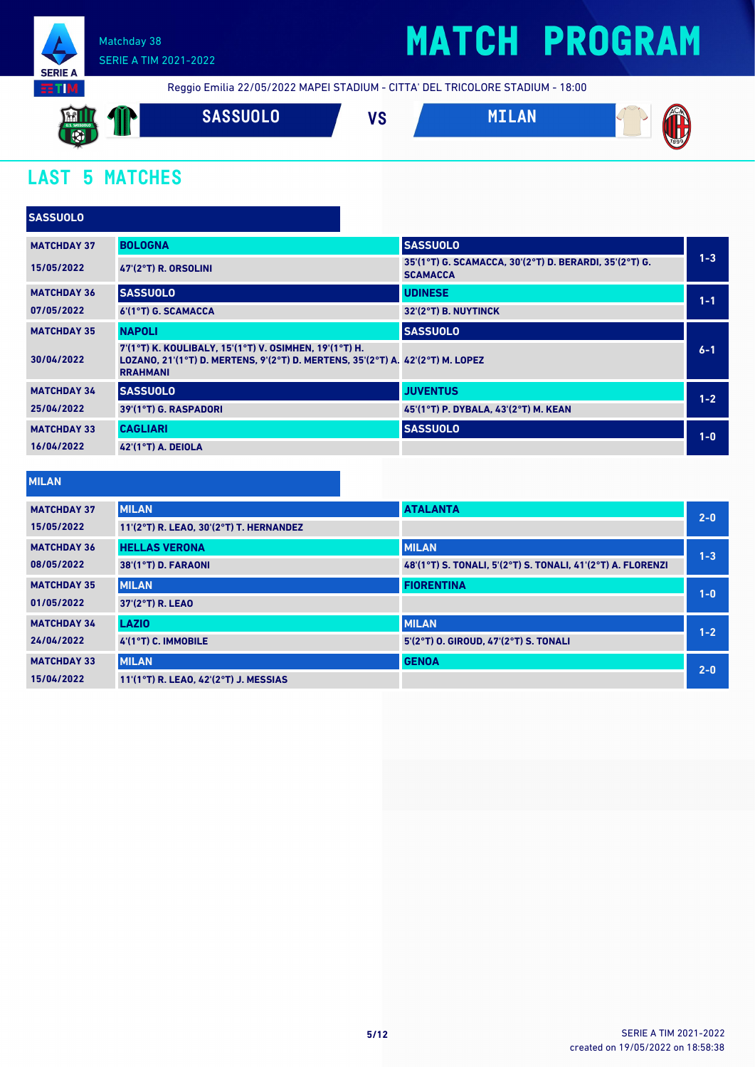

# **MATCH PROGRAM**

Reggio Emilia 22/05/2022 MAPEI STADIUM - CITTA' DEL TRICOLORE STADIUM - 18:00



### **LAST 5 MATCHES**

| <b>SASSUOLO</b>    |                                                                                                                                                             |                                                                           |         |
|--------------------|-------------------------------------------------------------------------------------------------------------------------------------------------------------|---------------------------------------------------------------------------|---------|
| <b>MATCHDAY 37</b> | <b>BOLOGNA</b>                                                                                                                                              | <b>SASSUOLO</b>                                                           |         |
| 15/05/2022         | 47'(2°T) R. ORSOLINI                                                                                                                                        | 35'(1°T) G. SCAMACCA, 30'(2°T) D. BERARDI, 35'(2°T) G.<br><b>SCAMACCA</b> | $1 - 3$ |
| <b>MATCHDAY 36</b> | <b>SASSUOLO</b>                                                                                                                                             | <b>UDINESE</b>                                                            | $1 - 1$ |
| 07/05/2022         | 6'(1°T) G. SCAMACCA                                                                                                                                         | 32'(2°T) B. NUYTINCK                                                      |         |
| <b>MATCHDAY 35</b> | <b>NAPOLI</b>                                                                                                                                               | <b>SASSUOLO</b>                                                           |         |
| 30/04/2022         | 7'(1°T) K. KOULIBALY, 15'(1°T) V. OSIMHEN, 19'(1°T) H.<br>LOZANO, 21'(1°T) D. MERTENS, 9'(2°T) D. MERTENS, 35'(2°T) A. 42'(2°T) M. LOPEZ<br><b>RRAHMANI</b> |                                                                           | $6 - 1$ |
| <b>MATCHDAY 34</b> | <b>SASSUOLO</b>                                                                                                                                             | <b>JUVENTUS</b>                                                           | $1 - 2$ |
| 25/04/2022         | 39'(1°T) G. RASPADORI                                                                                                                                       | 45 (1°T) P. DYBALA, 43 (2°T) M. KEAN                                      |         |
| <b>MATCHDAY 33</b> | <b>CAGLIARI</b>                                                                                                                                             | <b>SASSUOLO</b>                                                           | $1-0$   |
| 16/04/2022         | <b>42'(1°T) A. DEIOLA</b>                                                                                                                                   |                                                                           |         |

### **MILAN**

| <b>MATCHDAY 37</b> | <b>MILAN</b>                            | <b>ATALANTA</b>                                             | $2 - 0$ |
|--------------------|-----------------------------------------|-------------------------------------------------------------|---------|
| 15/05/2022         | 11'(2°T) R. LEAO, 30'(2°T) T. HERNANDEZ |                                                             |         |
| <b>MATCHDAY 36</b> | <b>HELLAS VERONA</b>                    | <b>MILAN</b>                                                | $1 - 3$ |
| 08/05/2022         | 38'(1°T) D. FARAONI                     | 48'(1°T) S. TONALI, 5'(2°T) S. TONALI, 41'(2°T) A. FLORENZI |         |
| <b>MATCHDAY 35</b> | <b>MILAN</b>                            | <b>FIORENTINA</b>                                           | $1 - 0$ |
| 01/05/2022         | 37'(2°T) R. LEAO                        |                                                             |         |
| <b>MATCHDAY 34</b> | <b>LAZIO</b>                            | <b>MILAN</b>                                                | $1 - 2$ |
| 24/04/2022         | 4'(1°T) C. IMMOBILE                     | 5'(2°T) O. GIROUD, 47'(2°T) S. TONALI                       |         |
| <b>MATCHDAY 33</b> | <b>MILAN</b>                            | <b>GENOA</b>                                                | $2 - 0$ |
| 15/04/2022         | 11'(1°T) R. LEAO, 42'(2°T) J. MESSIAS   |                                                             |         |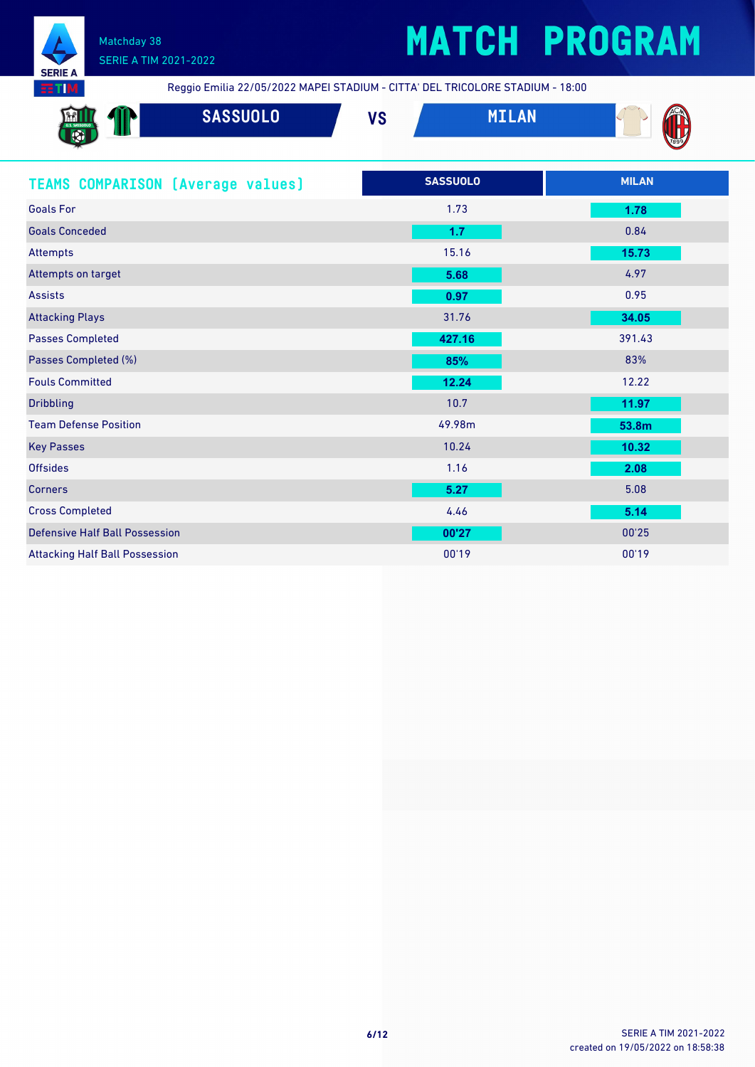

# **MATCH PROGRAM**

Reggio Emilia 22/05/2022 MAPEI STADIUM - CITTA' DEL TRICOLORE STADIUM - 18:00

| <u>imi il</u><br>U.S. SASSUOLO<br>$\overline{\mathbf{C}}$<br><b>SEP 200</b> | <b>SASSUOLO</b> | $\mathbf{u}$<br>V J | <b>AM</b> | <b>ZACM</b> |
|-----------------------------------------------------------------------------|-----------------|---------------------|-----------|-------------|
| w<br><b>TANK</b>                                                            |                 |                     |           | 7899        |

| <b>TEAMS COMPARISON [Average values]</b> | <b>SASSUOLO</b> | <b>MILAN</b> |
|------------------------------------------|-----------------|--------------|
| <b>Goals For</b>                         | 1.73            | 1.78         |
| <b>Goals Conceded</b>                    | 1.7             | 0.84         |
| Attempts                                 | 15.16           | 15.73        |
| Attempts on target                       | 5.68            | 4.97         |
| <b>Assists</b>                           | 0.97            | 0.95         |
| <b>Attacking Plays</b>                   | 31.76           | 34.05        |
| <b>Passes Completed</b>                  | 427.16          | 391.43       |
| Passes Completed (%)                     | 85%             | 83%          |
| <b>Fouls Committed</b>                   | 12.24           | 12.22        |
| <b>Dribbling</b>                         | 10.7            | 11.97        |
| <b>Team Defense Position</b>             | 49.98m          | 53.8m        |
| <b>Key Passes</b>                        | 10.24           | 10.32        |
| <b>Offsides</b>                          | 1.16            | 2.08         |
| <b>Corners</b>                           | 5.27            | 5.08         |
| <b>Cross Completed</b>                   | 4.46            | 5.14         |
| <b>Defensive Half Ball Possession</b>    | 00'27           | 00'25        |
| <b>Attacking Half Ball Possession</b>    | 00'19           | 00'19        |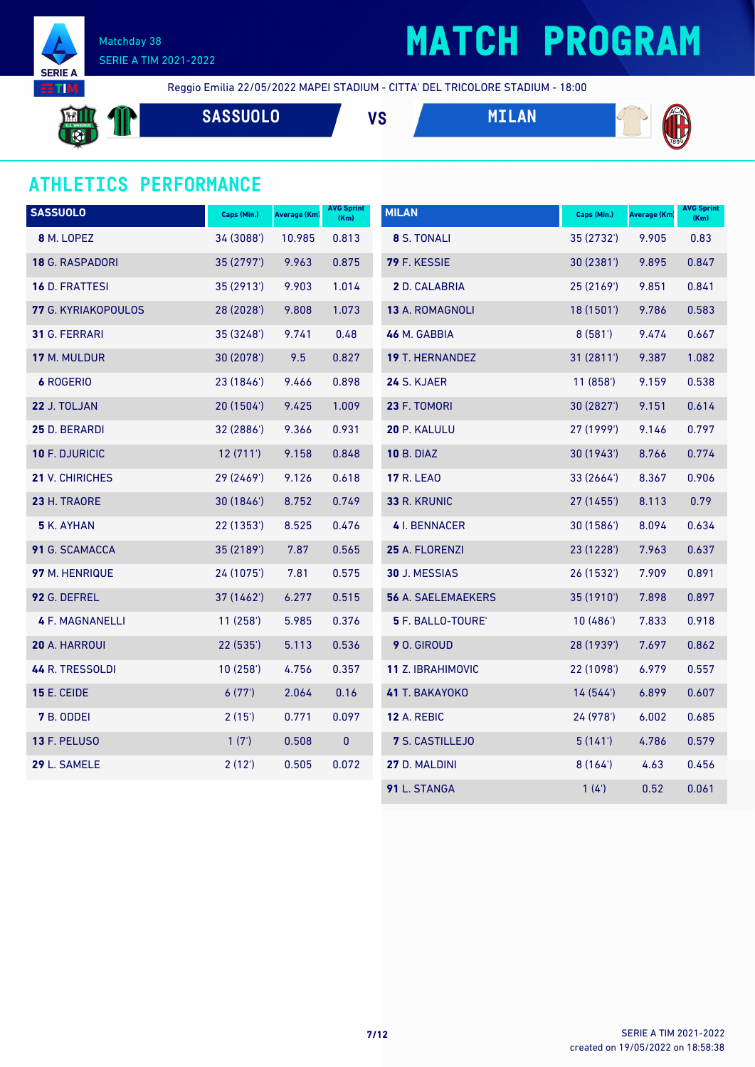

# **MATCH PROGRAM**

**SASSUOLO VS MILAN**

Reggio Emilia 22/05/2022 MAPEI STADIUM - CITTA' DEL TRICOLORE STADIUM - 18:00





### **ATHLETICS PERFORMANCE**

| <b>SASSUOLO</b>        | Caps (Min.) | <b>Average (Km)</b> | <b>AVG Sprint</b><br>(Km) | <b>MILAN</b>              | Caps (Min.) | Average (Km) | <b>AVG Sprint</b><br>(Km) |
|------------------------|-------------|---------------------|---------------------------|---------------------------|-------------|--------------|---------------------------|
| 8 M. LOPEZ             | 34 (3088')  | 10.985              | 0.813                     | 8 S. TONALI               | 35 (2732')  | 9.905        | 0.83                      |
| 18 G. RASPADORI        | 35 (2797')  | 9.963               | 0.875                     | 79 F. KESSIE              | 30 (2381')  | 9.895        | 0.847                     |
| 16 D. FRATTESI         | 35 (2913')  | 9.903               | 1.014                     | 2 D. CALABRIA             | 25 (2169')  | 9.851        | 0.841                     |
| 77 G. KYRIAKOPOULOS    | 28 (2028')  | 9.808               | 1.073                     | 13 A. ROMAGNOLI           | 18 (1501')  | 9.786        | 0.583                     |
| 31 G. FERRARI          | 35 (3248')  | 9.741               | 0.48                      | 46 M. GABBIA              | 8(581)      | 9.474        | 0.667                     |
| 17 M. MULDUR           | 30 (2078')  | 9.5                 | 0.827                     | 19 T. HERNANDEZ           | 31 (2811')  | 9.387        | 1.082                     |
| <b>6 ROGERIO</b>       | 23 (1846')  | 9.466               | 0.898                     | 24 S. KJAER               | 11(858)     | 9.159        | 0.538                     |
| 22 J. TOLJAN           | 20 (1504')  | 9.425               | 1.009                     | 23 F. TOMORI              | 30 (2827')  | 9.151        | 0.614                     |
| 25 D. BERARDI          | 32 (2886')  | 9.366               | 0.931                     | 20 P. KALULU              | 27 (1999')  | 9.146        | 0.797                     |
| 10 F. DJURICIC         | 12(711)     | 9.158               | 0.848                     | <b>10 B. DIAZ</b>         | 30 (1943')  | 8.766        | 0.774                     |
| 21 V. CHIRICHES        | 29 (2469')  | 9.126               | 0.618                     | <b>17 R. LEAO</b>         | 33 (2664')  | 8.367        | 0.906                     |
| 23 H. TRAORE           | 30 (1846')  | 8.752               | 0.749                     | 33 R. KRUNIC              | 27 (1455')  | 8.113        | 0.79                      |
| 5 K. AYHAN             | 22 (1353')  | 8.525               | 0.476                     | <b>4</b> I. BENNACER      | 30(1586)    | 8.094        | 0.634                     |
| 91 G. SCAMACCA         | 35 (2189')  | 7.87                | 0.565                     | 25 A. FLORENZI            | 23 (1228')  | 7.963        | 0.637                     |
| 97 M. HENRIQUE         | 24 (1075')  | 7.81                | 0.575                     | 30 J. MESSIAS             | 26 (1532')  | 7.909        | 0.891                     |
| 92 G. DEFREL           | 37 (1462')  | 6.277               | 0.515                     | <b>56 A. SAELEMAEKERS</b> | 35 (1910')  | 7.898        | 0.897                     |
| <b>4 F. MAGNANELLI</b> | 11(258)     | 5.985               | 0.376                     | 5 F. BALLO-TOURE'         | 10(486)     | 7.833        | 0.918                     |
| 20 A. HARROUI          | 22 (535')   | 5.113               | 0.536                     | 9 O. GIROUD               | 28 (1939')  | 7.697        | 0.862                     |
| 44 R. TRESSOLDI        | 10(258)     | 4.756               | 0.357                     | 11 Z. IBRAHIMOVIC         | 22 (1098')  | 6.979        | 0.557                     |
| <b>15 E. CEIDE</b>     | 6(77)       | 2.064               | 0.16                      | 41 T. BAKAYOKO            | 14(544)     | 6.899        | 0.607                     |
| 7 B. ODDEI             | 2(15)       | 0.771               | 0.097                     | <b>12 A. REBIC</b>        | 24 (978')   | 6.002        | 0.685                     |
| 13 F. PELUSO           | 1(7)        | 0.508               | $\mathbf{0}$              | 7 S. CASTILLEJO           | 5(141)      | 4.786        | 0.579                     |
| 29 L. SAMELE           | 2(12')      | 0.505               | 0.072                     | 27 D. MALDINI             | 8(164)      | 4.63         | 0.456                     |
|                        |             |                     |                           | 91 L. STANGA              | 1(4)        | 0.52         | 0.061                     |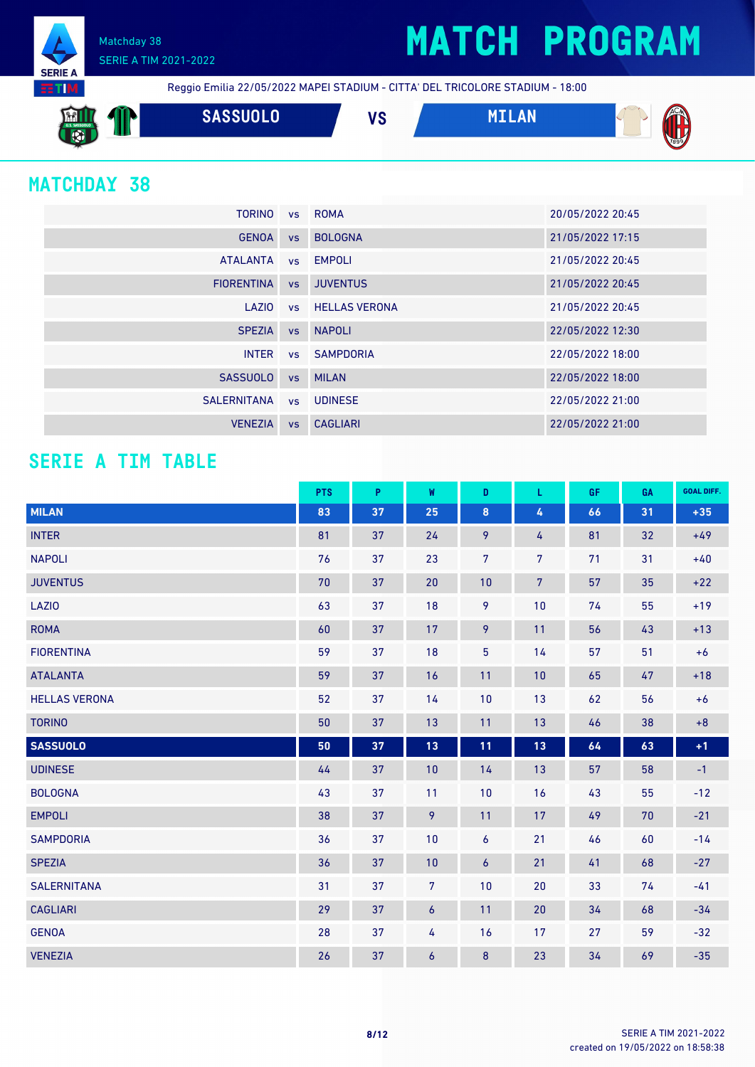## **MATCH PROGRAM**



Matchday 38 SERIE A TIM 2021-2022

Reggio Emilia 22/05/2022 MAPEI STADIUM - CITTA' DEL TRICOLORE STADIUM - 18:00

**SASSUOLO VS MILAN**

### **MATCHDAY 38**

| <b>TORINO</b>     |           | vs ROMA                 | 20/05/2022 20:45 |
|-------------------|-----------|-------------------------|------------------|
| <b>GENOA</b>      | <b>VS</b> | <b>BOLOGNA</b>          | 21/05/2022 17:15 |
| <b>ATALANTA</b>   |           | vs EMPOLI               | 21/05/2022 20:45 |
| <b>FIORENTINA</b> | VS        | <b>JUVENTUS</b>         | 21/05/2022 20:45 |
| LAZIO             |           | <b>vs</b> HELLAS VERONA | 21/05/2022 20:45 |
| <b>SPEZIA</b>     | <b>VS</b> | <b>NAPOLI</b>           | 22/05/2022 12:30 |
| <b>INTER</b>      |           | vs SAMPDORIA            | 22/05/2022 18:00 |
| <b>SASSUOLO</b>   | <b>VS</b> | <b>MILAN</b>            | 22/05/2022 18:00 |
| SALERNITANA       |           | vs UDINESE              | 22/05/2022 21:00 |
| <b>VENEZIA</b>    | <b>VS</b> | <b>CAGLIARI</b>         | 22/05/2022 21:00 |

### **SERIE A TIM TABLE**

|                      | <b>PTS</b> | P  | W                | D              | L.              | GF | GA | <b>GOAL DIFF.</b> |
|----------------------|------------|----|------------------|----------------|-----------------|----|----|-------------------|
| <b>MILAN</b>         | 83         | 37 | 25               | $\pmb{8}$      | 4               | 66 | 31 | $+35$             |
| <b>INTER</b>         | 81         | 37 | 24               | 9              | 4               | 81 | 32 | $+49$             |
| <b>NAPOLI</b>        | 76         | 37 | 23               | $\overline{7}$ | $\overline{7}$  | 71 | 31 | $+40$             |
| <b>JUVENTUS</b>      | 70         | 37 | 20               | 10             | $7\overline{ }$ | 57 | 35 | $+22$             |
| <b>LAZIO</b>         | 63         | 37 | 18               | 9              | 10              | 74 | 55 | $+19$             |
| <b>ROMA</b>          | 60         | 37 | 17               | 9              | 11              | 56 | 43 | $+13$             |
| <b>FIORENTINA</b>    | 59         | 37 | 18               | $\overline{5}$ | 14              | 57 | 51 | $+6$              |
| <b>ATALANTA</b>      | 59         | 37 | 16               | 11             | 10              | 65 | 47 | $+18$             |
| <b>HELLAS VERONA</b> | 52         | 37 | 14               | 10             | 13              | 62 | 56 | $+6$              |
| <b>TORINO</b>        | $50\,$     | 37 | 13               | 11             | 13              | 46 | 38 | $\bf +8$          |
| <b>SASSUOLO</b>      | 50         | 37 | 13               | 11             | $13$            | 64 | 63 | $+1$              |
| <b>UDINESE</b>       | 44         | 37 | 10               | 14             | 13              | 57 | 58 | $-1$              |
| <b>BOLOGNA</b>       | 43         | 37 | 11               | 10             | 16              | 43 | 55 | $-12$             |
| <b>EMPOLI</b>        | 38         | 37 | 9                | 11             | 17              | 49 | 70 | $-21$             |
| <b>SAMPDORIA</b>     | 36         | 37 | 10               | 6              | 21              | 46 | 60 | $-14$             |
| <b>SPEZIA</b>        | 36         | 37 | 10               | 6              | 21              | 41 | 68 | $-27$             |
| <b>SALERNITANA</b>   | 31         | 37 | $\overline{7}$   | 10             | 20              | 33 | 74 | $-41$             |
| <b>CAGLIARI</b>      | 29         | 37 | $\boldsymbol{6}$ | 11             | 20              | 34 | 68 | $-34$             |
| <b>GENOA</b>         | 28         | 37 | 4                | 16             | 17              | 27 | 59 | $-32$             |
| <b>VENEZIA</b>       | 26         | 37 | 6                | 8              | 23              | 34 | 69 | $-35$             |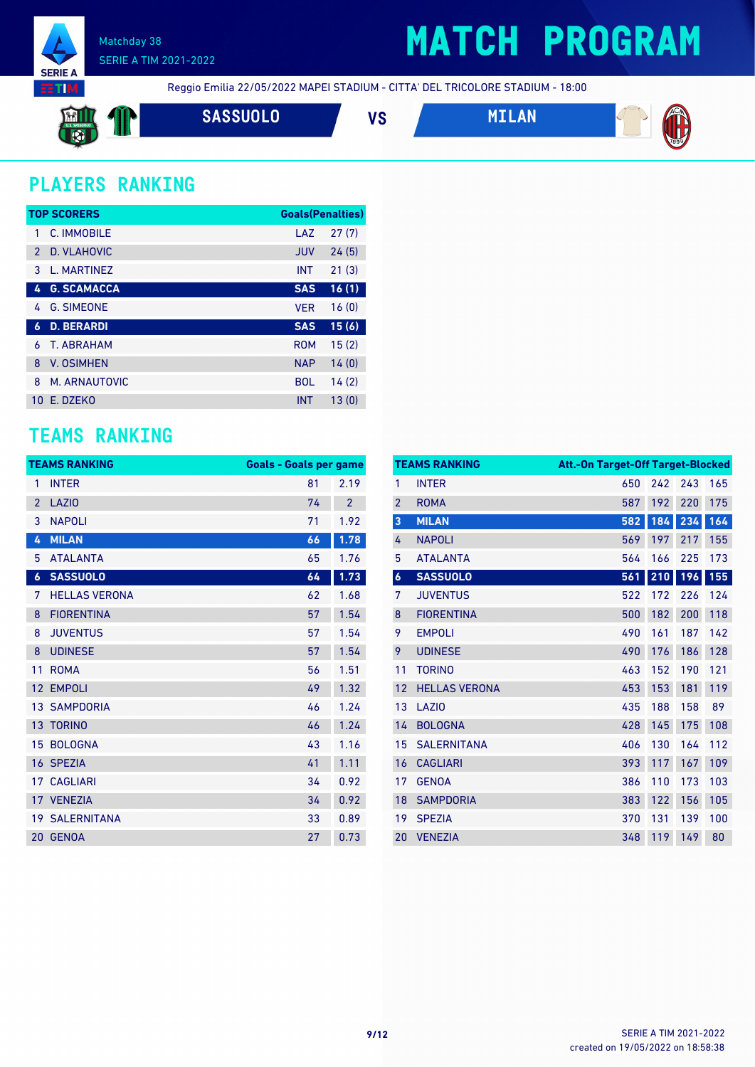

## **MATCH PROGRAM**

Reggio Emilia 22/05/2022 MAPEI STADIUM - CITTA' DEL TRICOLORE STADIUM - 18:00

$$
\mathbf{m} \mathbf{1}
$$

**SASSUOLO VS MILAN**



### **PLAYERS RANKING**

|               | <b>TOP SCORERS</b> | <b>Goals</b> (Penalties) |       |
|---------------|--------------------|--------------------------|-------|
| 1             | C. IMMOBILE        | LAZ                      | 27(7) |
| $\mathcal{P}$ | D. VLAHOVIC        | <b>JUV</b>               | 24(5) |
| 3             | L. MARTINEZ        | <b>INT</b>               | 21(3) |
| 4             | <b>G. SCAMACCA</b> | <b>SAS</b>               | 16(1) |
| 4             | <b>G. SIMEONE</b>  | <b>VER</b>               | 16(0) |
| 6             | <b>D. BERARDI</b>  | <b>SAS</b>               | 15(6) |
| 6             | T. ABRAHAM         | <b>ROM</b>               | 15(2) |
| 8             | <b>V. OSIMHEN</b>  | <b>NAP</b>               | 14(0) |
| 8             | M. ARNAUTOVIC      | <b>BOL</b>               | 14(2) |
| 10            | F. DZFKO           | <b>INT</b>               | 13(0) |

### **TEAMS RANKING**

|                | <b>TEAMS RANKING</b>  | <b>Goals - Goals per game</b> |                |
|----------------|-----------------------|-------------------------------|----------------|
| 1              | <b>INTER</b>          | 81                            | 2.19           |
| $\overline{2}$ | <b>LAZIO</b>          | 74                            | $\overline{2}$ |
| 3              | <b>NAPOLI</b>         | 71                            | 1.92           |
| 4              | <b>MILAN</b>          | 66                            | 1.78           |
| 5              | <b>ATALANTA</b>       | 65                            | 1.76           |
| 6              | <b>SASSUOLO</b>       | 64                            | 1.73           |
| 7              | <b>HELLAS VERONA</b>  | 62                            | 1.68           |
| 8              | <b>FIORENTINA</b>     | 57                            | 1.54           |
| 8              | <b>JUVENTUS</b>       | 57                            | 1.54           |
| 8              | <b>UDINESE</b>        | 57                            | 1.54           |
| 11             | <b>ROMA</b>           | 56                            | 1.51           |
| 12             | <b>EMPOLI</b>         | 49                            | 1.32           |
|                | <b>13 SAMPDORIA</b>   | 46                            | 1.24           |
|                | 13 TORINO             | 46                            | 1.24           |
| 15             | <b>BOLOGNA</b>        | 43                            | 1.16           |
| 16             | <b>SPEZIA</b>         | 41                            | 1.11           |
| 17             | <b>CAGLIARI</b>       | 34                            | 0.92           |
|                | 17 VENEZIA            | 34                            | 0.92           |
|                | <b>19 SALERNITANA</b> | 33                            | 0.89           |
| 20             | <b>GENOA</b>          | 27                            | 0.73           |

|                  | <b>TEAMS RANKING</b> | <b>Att.-On Target-Off Target-Blocked</b> |     |     |     |
|------------------|----------------------|------------------------------------------|-----|-----|-----|
| 1                | <b>INTER</b>         | 650                                      | 242 | 243 | 165 |
| $\overline{2}$   | <b>ROMA</b>          | 587                                      | 192 | 220 | 175 |
| 3                | <b>MILAN</b>         | 582                                      | 184 | 234 | 164 |
| 4                | <b>NAPOLI</b>        | 569                                      | 197 | 217 | 155 |
| 5                | <b>ATALANTA</b>      | 564                                      | 166 | 225 | 173 |
| $\boldsymbol{6}$ | <b>SASSUOLO</b>      | 561                                      | 210 | 196 | 155 |
| 7                | <b>JUVENTUS</b>      | 522                                      | 172 | 226 | 124 |
| 8                | <b>FIORENTINA</b>    | 500                                      | 182 | 200 | 118 |
| 9                | <b>EMPOLI</b>        | 490                                      | 161 | 187 | 142 |
| 9                | <b>UDINESE</b>       | 490                                      | 176 | 186 | 128 |
| 11               | <b>TORINO</b>        | 463                                      | 152 | 190 | 121 |
| 12               | <b>HELLAS VERONA</b> | 453                                      | 153 | 181 | 119 |
| 13               | LAZI <sub>0</sub>    | 435                                      | 188 | 158 | 89  |
| 14               | <b>BOLOGNA</b>       | 428                                      | 145 | 175 | 108 |
| 15               | <b>SALERNITANA</b>   | 406                                      | 130 | 164 | 112 |
| 16               | <b>CAGLIARI</b>      | 393                                      | 117 | 167 | 109 |
| 17               | <b>GENOA</b>         | 386                                      | 110 | 173 | 103 |
| 18               | <b>SAMPDORIA</b>     | 383                                      | 122 | 156 | 105 |
| 19               | <b>SPEZIA</b>        | 370                                      | 131 | 139 | 100 |
| 20               | <b>VENEZIA</b>       | 348                                      | 119 | 149 | 80  |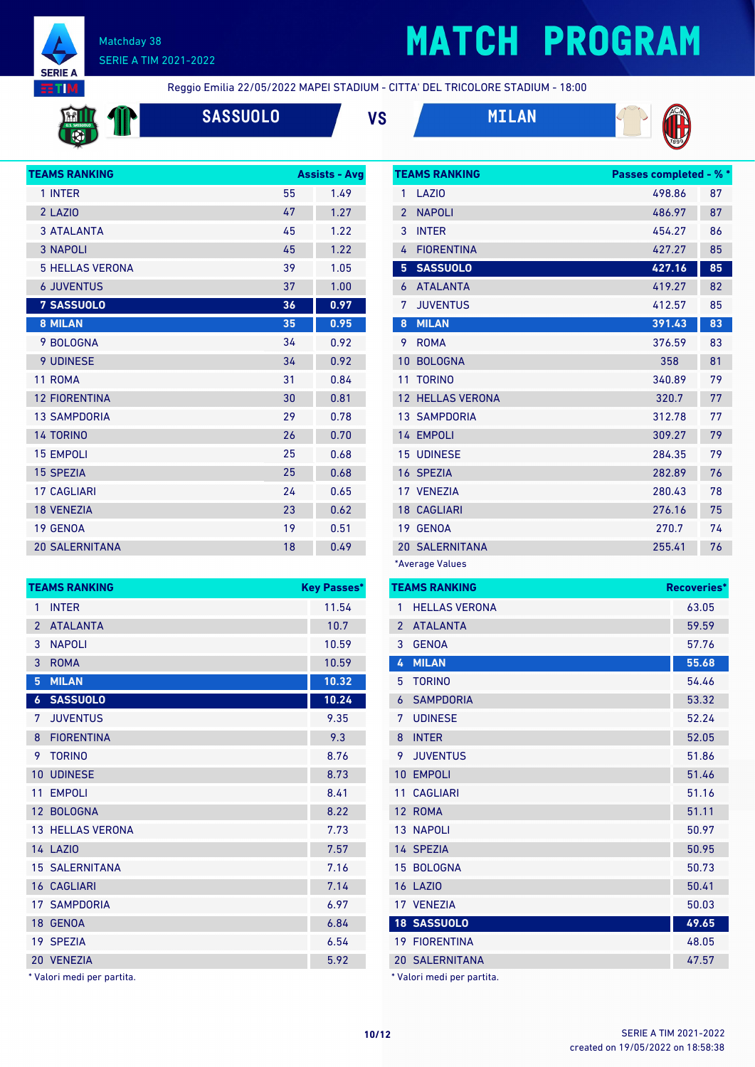

# **MATCH PROGRAM**



Reggio Emilia 22/05/2022 MAPEI STADIUM - CITTA' DEL TRICOLORE STADIUM - 18:00



**SASSUOLO VS MILAN**







| <b>TEAMS RANKING</b>   |    | <b>Assists - Avg</b> |
|------------------------|----|----------------------|
| 1 INTER                | 55 | 1.49                 |
| 2 LAZIO                | 47 | 1.27                 |
| <b>3 ATALANTA</b>      | 45 | 1.22                 |
| <b>3 NAPOLI</b>        | 45 | 1.22                 |
| <b>5 HELLAS VERONA</b> | 39 | 1.05                 |
| <b>6 JUVENTUS</b>      | 37 | 1.00                 |
| <b>7 SASSUOLO</b>      | 36 | 0.97                 |
| 8 MILAN                | 35 | 0.95                 |
| 9 BOLOGNA              | 34 | 0.92                 |
| <b>9 UDINESE</b>       | 34 | 0.92                 |
| 11 ROMA                | 31 | 0.84                 |
| <b>12 FIORENTINA</b>   | 30 | 0.81                 |
| <b>13 SAMPDORIA</b>    | 29 | 0.78                 |
| <b>14 TORINO</b>       | 26 | 0.70                 |
| <b>15 EMPOLI</b>       | 25 | 0.68                 |
| <b>15 SPEZIA</b>       | 25 | 0.68                 |
| <b>17 CAGLIARI</b>     | 24 | 0.65                 |
| <b>18 VENEZIA</b>      | 23 | 0.62                 |
| <b>19 GENOA</b>        | 19 | 0.51                 |
| <b>20 SALERNITANA</b>  | 18 | 0.49                 |

|                  | <b>TEAMS RANKING</b>    | <b>Key Passes*</b> |
|------------------|-------------------------|--------------------|
| 1                | <b>INTER</b>            | 11.54              |
| $\overline{2}$   | <b>ATALANTA</b>         | 10.7               |
| 3                | <b>NAPOLI</b>           | 10.59              |
| 3                | <b>ROMA</b>             | 10.59              |
| $5\phantom{.0}$  | <b>MILAN</b>            | 10.32              |
| $\boldsymbol{6}$ | <b>SASSUOLO</b>         | 10.24              |
| 7                | <b>JUVENTUS</b>         | 9.35               |
| 8                | <b>FIORENTINA</b>       | 9.3                |
| 9                | <b>TORINO</b>           | 8.76               |
| 10               | <b>UDINESE</b>          | 8.73               |
| 11               | <b>EMPOLI</b>           | 8.41               |
|                  | 12 BOLOGNA              | 8.22               |
|                  | <b>13 HELLAS VERONA</b> | 7.73               |
|                  | 14 LAZIO                | 7.57               |
|                  | <b>15 SALERNITANA</b>   | 7.16               |
|                  | <b>16 CAGLIARI</b>      | 7.14               |
|                  | <b>17 SAMPDORIA</b>     | 6.97               |
|                  | 18 GENOA                | 6.84               |
|                  | 19 SPEZIA               | 6.54               |
|                  | 20 VENEZIA              | 5.92               |

Valori medi per partita.

|                | <b>TEAMS RANKING</b>    | <b>Passes completed - % *</b> |    |
|----------------|-------------------------|-------------------------------|----|
| 1              | LAZI <sub>0</sub>       | 498.86                        | 87 |
| $\overline{2}$ | <b>NAPOLI</b>           | 486.97                        | 87 |
| 3              | <b>INTER</b>            | 454.27                        | 86 |
| 4              | <b>FIORENTINA</b>       | 427.27                        | 85 |
| 5              | <b>SASSUOLO</b>         | 427.16                        | 85 |
| 6              | <b>ATALANTA</b>         | 419.27                        | 82 |
| 7              | <b>JUVENTUS</b>         | 412.57                        | 85 |
| 8              | <b>MILAN</b>            | 391.43                        | 83 |
| 9              | <b>ROMA</b>             | 376.59                        | 83 |
| 10             | <b>BOLOGNA</b>          | 358                           | 81 |
| 11             | <b>TORINO</b>           | 340.89                        | 79 |
|                | <b>12 HELLAS VERONA</b> | 320.7                         | 77 |
|                | <b>13 SAMPDORIA</b>     | 312.78                        | 77 |
|                | 14 EMPOLI               | 309.27                        | 79 |
|                | <b>15 UDINESE</b>       | 284.35                        | 79 |
|                | 16 SPEZIA               | 282.89                        | 76 |
|                | 17 VENEZIA              | 280.43                        | 78 |
|                | <b>18 CAGLIARI</b>      | 276.16                        | 75 |
|                | 19 GENOA                | 270.7                         | 74 |
|                | <b>20 SALERNITANA</b>   | 255.41                        | 76 |
|                | *Average Values         |                               |    |

|                | <b>TEAMS RANKING</b>       | Recoveries* |
|----------------|----------------------------|-------------|
| 1              | <b>HELLAS VERONA</b>       | 63.05       |
| $\overline{2}$ | <b>ATALANTA</b>            | 59.59       |
| 3              | <b>GENOA</b>               | 57.76       |
| 4              | <b>MILAN</b>               | 55.68       |
| 5              | <b>TORINO</b>              | 54.46       |
| 6              | <b>SAMPDORIA</b>           | 53.32       |
| 7              | <b>UDINESE</b>             | 52.24       |
| 8              | <b>INTER</b>               | 52.05       |
| 9              | <b>JUVENTUS</b>            | 51.86       |
| 10             | <b>EMPOLI</b>              | 51.46       |
| 11             | <b>CAGLIARI</b>            | 51.16       |
|                | 12 ROMA                    | 51.11       |
|                | 13 NAPOLI                  | 50.97       |
|                | 14 SPEZIA                  | 50.95       |
|                | 15 BOLOGNA                 | 50.73       |
|                | <b>16 LAZIO</b>            | 50.41       |
|                | 17 VENEZIA                 | 50.03       |
|                | <b>18 SASSUOLO</b>         | 49.65       |
|                | <b>19 FIORENTINA</b>       | 48.05       |
|                | <b>20 SALERNITANA</b>      | 47.57       |
|                | * Valori medi per partita. |             |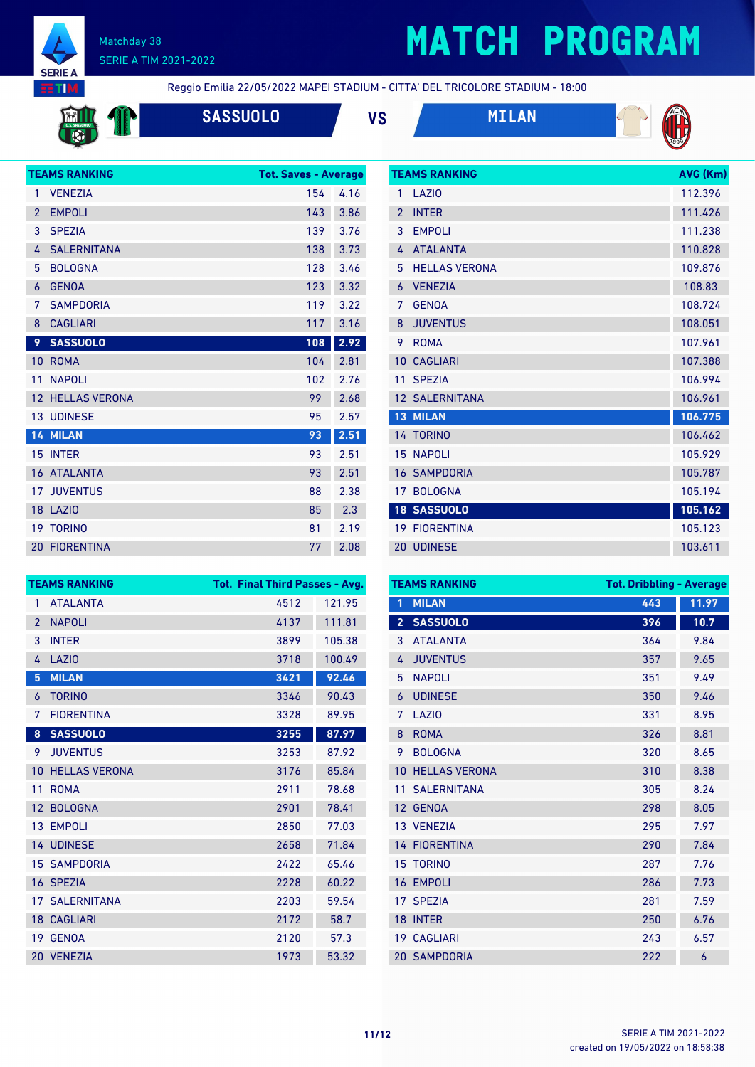

# **MATCH PROGRAM**

**RTM** 

Reggio Emilia 22/05/2022 MAPEI STADIUM - CITTA' DEL TRICOLORE STADIUM - 18:00

| <b>SASSUOLO</b> | VS | <b>MILAN</b> |
|-----------------|----|--------------|
|                 |    |              |



**TEAMS RANKING AVG (Km)** 



|                | <b>TEAMS RANKING</b>    | <b>Tot. Saves - Average</b> |      |
|----------------|-------------------------|-----------------------------|------|
| 1              | <b>VENEZIA</b>          | 154                         | 4.16 |
| $\overline{2}$ | <b>EMPOLI</b>           | 143                         | 3.86 |
| 3              | <b>SPEZIA</b>           | 139                         | 3.76 |
| 4              | <b>SALERNITANA</b>      | 138                         | 3.73 |
| 5              | <b>BOLOGNA</b>          | 128                         | 3.46 |
| 6              | <b>GENOA</b>            | 123                         | 3.32 |
| 7              | <b>SAMPDORIA</b>        | 119                         | 3.22 |
| 8              | <b>CAGLIARI</b>         | 117                         | 3.16 |
| 9              | <b>SASSUOLO</b>         | 108                         | 2.92 |
| 10             | <b>ROMA</b>             | 104                         | 2.81 |
| 11             | <b>NAPOLI</b>           | 102                         | 2.76 |
|                | <b>12 HELLAS VERONA</b> | 99                          | 2.68 |
|                | <b>13 UDINESE</b>       | 95                          | 2.57 |
|                | 14 MILAN                | 93                          | 2.51 |
|                | 15 INTER                | 93                          | 2.51 |
|                | 16 ATALANTA             | 93                          | 2.51 |
|                | <b>17 JUVENTUS</b>      | 88                          | 2.38 |
|                | <b>18 LAZIO</b>         | 85                          | 2.3  |
|                | <b>19 TORINO</b>        | 81                          | 2.19 |
|                | <b>20 FIORENTINA</b>    | 77                          | 2.08 |

| 1              | <b>LAZIO</b>          | 112.396 |
|----------------|-----------------------|---------|
| $\overline{2}$ | <b>INTER</b>          | 111.426 |
| 3              | <b>EMPOLI</b>         | 111.238 |
| 4              | <b>ATALANTA</b>       | 110.828 |
| 5              | <b>HELLAS VERONA</b>  | 109.876 |
| 6              | <b>VENEZIA</b>        | 108.83  |
| 7              | <b>GFNOA</b>          | 108.724 |
| 8              | <b>JUVENTUS</b>       | 108.051 |
| 9              | <b>ROMA</b>           | 107.961 |
| 10             | <b>CAGLIARI</b>       | 107.388 |
|                |                       |         |
| 11             | <b>SPEZIA</b>         | 106.994 |
|                | <b>12 SALERNITANA</b> | 106.961 |
| 13             | <b>MILAN</b>          | 106.775 |
|                | 14 TORINO             | 106.462 |
| 15             | <b>NAPOLI</b>         | 105.929 |
|                | <b>16 SAMPDORIA</b>   | 105.787 |
| 17             | <b>BOLOGNA</b>        | 105.194 |
|                | <b>18 SASSUOLO</b>    | 105.162 |
| 19             | <b>FIORENTINA</b>     | 105.123 |

| <b>TEAMS RANKING</b> |                       | <b>Tot. Final Third Passes - Avg.</b> |        |  |
|----------------------|-----------------------|---------------------------------------|--------|--|
| $\mathbf{1}$         | <b>ATALANTA</b>       | 4512                                  | 121.95 |  |
| $\overline{2}$       | <b>NAPOLI</b>         | 4137                                  | 111.81 |  |
| 3                    | <b>INTER</b>          | 3899                                  | 105.38 |  |
| 4                    | <b>LAZIO</b>          | 3718                                  | 100.49 |  |
| 5                    | <b>MILAN</b>          | 3421                                  | 92.46  |  |
| 6                    | <b>TORINO</b>         | 3346                                  | 90.43  |  |
| 7                    | <b>FIORENTINA</b>     | 3328                                  | 89.95  |  |
| 8                    | <b>SASSUOLO</b>       | 3255                                  | 87.97  |  |
| 9                    | <b>JUVENTUS</b>       | 3253                                  | 87.92  |  |
| 10                   | <b>HELLAS VERONA</b>  | 3176                                  | 85.84  |  |
| 11                   | <b>ROMA</b>           | 2911                                  | 78.68  |  |
| 12 <sup>2</sup>      | <b>BOLOGNA</b>        | 2901                                  | 78.41  |  |
|                      | 13 EMPOLI             | 2850                                  | 77.03  |  |
|                      | <b>14 UDINESE</b>     | 2658                                  | 71.84  |  |
|                      | <b>15 SAMPDORIA</b>   | 2422                                  | 65.46  |  |
|                      | 16 SPEZIA             | 2228                                  | 60.22  |  |
|                      | <b>17 SALERNITANA</b> | 2203                                  | 59.54  |  |
|                      | <b>18 CAGLIARI</b>    | 2172                                  | 58.7   |  |
| 19                   | <b>GENOA</b>          | 2120                                  | 57.3   |  |
| 20                   | <b>VENEZIA</b>        | 1973                                  | 53.32  |  |

| <b>TEAMS RANKING</b> |                      | <b>Tot. Dribbling - Average</b> |       |  |
|----------------------|----------------------|---------------------------------|-------|--|
| 1                    | <b>MILAN</b>         | 443                             | 11.97 |  |
| $\overline{2}$       | <b>SASSUOLO</b>      | 396                             | 10.7  |  |
| 3                    | <b>ATALANTA</b>      | 364                             | 9.84  |  |
| 4                    | <b>JUVENTUS</b>      | 357                             | 9.65  |  |
| 5                    | <b>NAPOLI</b>        | 351                             | 9.49  |  |
| 6                    | <b>UDINESE</b>       | 350                             | 9.46  |  |
| 7                    | LAZI <sub>0</sub>    | 331                             | 8.95  |  |
| 8                    | <b>ROMA</b>          | 326                             | 8.81  |  |
| 9                    | <b>BOLOGNA</b>       | 320                             | 8.65  |  |
| 10                   | <b>HELLAS VERONA</b> | 310                             | 8.38  |  |
| 11                   | <b>SALERNITANA</b>   | 305                             | 8.24  |  |
| 12                   | <b>GENOA</b>         | 298                             | 8.05  |  |
|                      | 13 VENEZIA           | 295                             | 7.97  |  |
|                      | <b>14 FIORENTINA</b> | 290                             | 7.84  |  |
| 15                   | <b>TORINO</b>        | 287                             | 7.76  |  |
| 16                   | <b>EMPOLI</b>        | 286                             | 7.73  |  |
| 17                   | <b>SPEZIA</b>        | 281                             | 7.59  |  |
| 18                   | <b>INTER</b>         | 250                             | 6.76  |  |
| 19 <sup>°</sup>      | <b>CAGLIARI</b>      | 243                             | 6.57  |  |
|                      | <b>20 SAMPDORIA</b>  | 222                             | 6     |  |